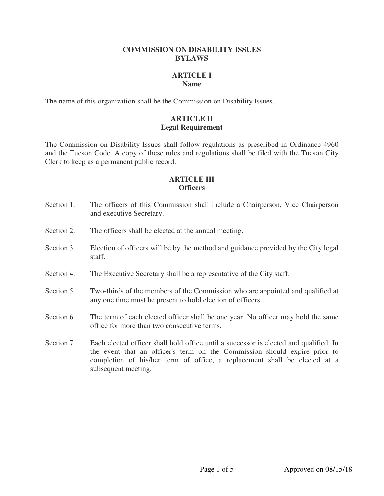#### **COMMISSION ON DISABILITY ISSUES BYLAWS**

#### **ARTICLE I Name**

The name of this organization shall be the Commission on Disability Issues.

### **ARTICLE II Legal Requirement**

The Commission on Disability Issues shall follow regulations as prescribed in Ordinance 4960 and the Tucson Code. A copy of these rules and regulations shall be filed with the Tucson City Clerk to keep as a permanent public record.

### **ARTICLE III Officers**

- Section 1. The officers of this Commission shall include a Chairperson, Vice Chairperson and executive Secretary.
- Section 2. The officers shall be elected at the annual meeting.
- Section 3. Election of officers will be by the method and guidance provided by the City legal staff.
- Section 4. The Executive Secretary shall be a representative of the City staff.
- Section 5. Two-thirds of the members of the Commission who are appointed and qualified at any one time must be present to hold election of officers.
- Section 6. The term of each elected officer shall be one year. No officer may hold the same office for more than two consecutive terms.
- Section 7. Each elected officer shall hold office until a successor is elected and qualified. In the event that an officer's term on the Commission should expire prior to completion of his/her term of office, a replacement shall be elected at a subsequent meeting.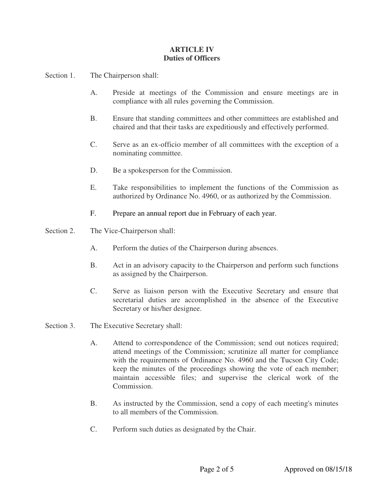### **ARTICLE IV Duties of Officers**

Section 1. The Chairperson shall:

- A. Preside at meetings of the Commission and ensure meetings are in compliance with all rules governing the Commission.
- B. Ensure that standing committees and other committees are established and chaired and that their tasks are expeditiously and effectively performed.
- C. Serve as an ex-officio member of all committees with the exception of a nominating committee.
- D. Be a spokesperson for the Commission.
- E. Take responsibilities to implement the functions of the Commission as authorized by Ordinance No. 4960, or as authorized by the Commission.
- F. Prepare an annual report due in February of each year.
- Section 2. The Vice-Chairperson shall:
	- A. Perform the duties of the Chairperson during absences.
	- B. Act in an advisory capacity to the Chairperson and perform such functions as assigned by the Chairperson.
	- C. Serve as liaison person with the Executive Secretary and ensure that secretarial duties are accomplished in the absence of the Executive Secretary or his/her designee.
- Section 3. The Executive Secretary shall:
	- A. Attend to correspondence of the Commission; send out notices required; attend meetings of the Commission; scrutinize all matter for compliance with the requirements of Ordinance No. 4960 and the Tucson City Code; keep the minutes of the proceedings showing the vote of each member; maintain accessible files; and supervise the clerical work of the Commission.
	- B. As instructed by the Commission, send a copy of each meeting's minutes to all members of the Commission.
	- C. Perform such duties as designated by the Chair.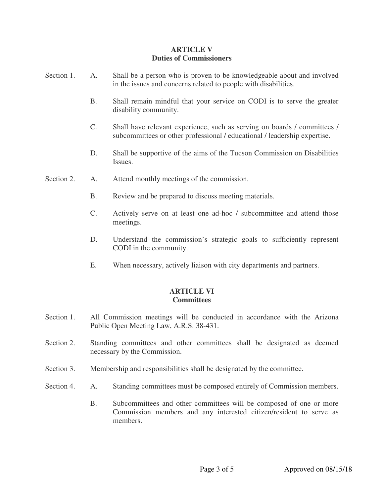### **ARTICLE V Duties of Commissioners**

| Section 1. | A.             | Shall be a person who is proven to be knowledgeable about and involved<br>in the issues and concerns related to people with disabilities.             |
|------------|----------------|-------------------------------------------------------------------------------------------------------------------------------------------------------|
|            | <b>B.</b>      | Shall remain mindful that your service on CODI is to serve the greater<br>disability community.                                                       |
|            | $\mathbf{C}$ . | Shall have relevant experience, such as serving on boards / committees /<br>subcommittees or other professional / educational / leadership expertise. |
|            | D.             | Shall be supportive of the aims of the Tucson Commission on Disabilities<br>Issues.                                                                   |
| Section 2. | A.             | Attend monthly meetings of the commission.                                                                                                            |
|            | <b>B.</b>      | Review and be prepared to discuss meeting materials.                                                                                                  |
|            | C.             | Actively serve on at least one ad-hoc / subcommittee and attend those<br>meetings.                                                                    |
|            | D.             | Understand the commission's strategic goals to sufficiently represent<br>CODI in the community.                                                       |
|            | Е.             | When necessary, actively liaison with city departments and partners.                                                                                  |

## **ARTICLE VI Committees**

- Section 1. All Commission meetings will be conducted in accordance with the Arizona Public Open Meeting Law, A.R.S. 38-431.
- Section 2. Standing committees and other committees shall be designated as deemed necessary by the Commission.
- Section 3. Membership and responsibilities shall be designated by the committee.
- Section 4. A. Standing committees must be composed entirely of Commission members.
	- B. Subcommittees and other committees will be composed of one or more Commission members and any interested citizen/resident to serve as members.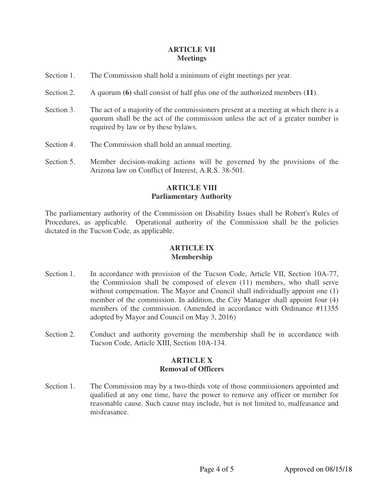#### **ARTICLE VII Meetings**

- Section 1. The Commission shall hold a minimum of eight meetings per year.
- Section 2. A quorum **(6)** shall consist of half plus one of the authorized members **(11)**.
- Section 3. The act of a majority of the commissioners present at a meeting at which there is a quorum shall be the act of the commission unless the act of a greater number is required by law or by these bylaws.
- Section 4. The Commission shall hold an annual meeting.
- Section 5. Member decision-making actions will be governed by the provisions of the Arizona law on Conflict of Interest, A.R.S. 38-501.

### **ARTICLE VIII Parliamentary Authority**

The parliamentary authority of the Commission on Disability Issues shall be Robert's Rules of Procedures, as applicable. Operational authority of the Commission shall be the policies dictated in the Tucson Code, as applicable.

#### **ARTICLE IX Membership**

- Section 1. In accordance with provision of the Tucson Code, Article VII, Section 10A-77, the Commission shall be composed of eleven (11) members, who shall serve without compensation. The Mayor and Council shall individually appoint one (1) member of the commission. In addition, the City Manager shall appoint four (4) members of the commission. (Amended in accordance with Ordinance #11355 adopted by Mayor and Council on May 3, 2016)
- Section 2. Conduct and authority governing the membership shall be in accordance with Tucson Code, Article XIII, Section 10A-134.

#### **ARTICLE X Removal of Officers**

Section 1. The Commission may by a two-thirds vote of those commissioners appointed and qualified at any one time, have the power to remove any officer or member for reasonable cause. Such cause may include, but is not limited to, malfeasance and misfeasance.